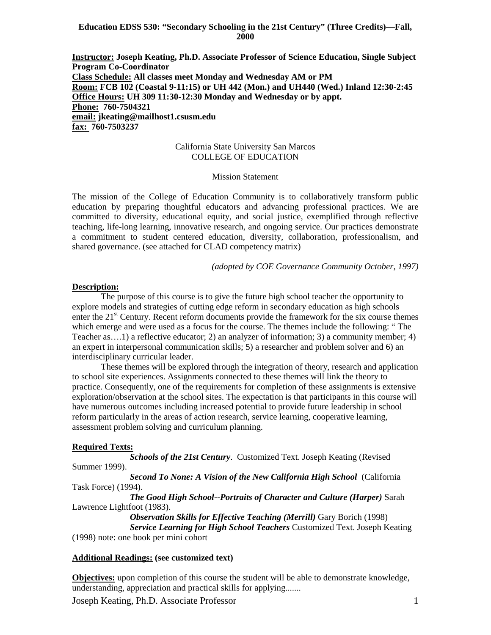### **Education EDSS 530: "Secondary Schooling in the 21st Century" (Three Credits)—Fall, 2000**

**Instructor: Joseph Keating, Ph.D. Associate Professor of Science Education, Single Subject Program Co-Coordinator Class Schedule: All classes meet Monday and Wednesday AM or PM Room: FCB 102 (Coastal 9-11:15) or UH 442 (Mon.) and UH440 (Wed.) Inland 12:30-2:45 Office Hours: UH 309 11:30-12:30 Monday and Wednesday or by appt. Phone: 760-7504321 email: jkeating@mailhost1.csusm.edu fax: 760-7503237**

### California State University San Marcos COLLEGE OF EDUCATION

## Mission Statement

The mission of the College of Education Community is to collaboratively transform public education by preparing thoughtful educators and advancing professional practices. We are committed to diversity, educational equity, and social justice, exemplified through reflective teaching, life-long learning, innovative research, and ongoing service. Our practices demonstrate a commitment to student centered education, diversity, collaboration, professionalism, and shared governance. (see attached for CLAD competency matrix)

*(adopted by COE Governance Community October, 1997)*

#### **Description:**

The purpose of this course is to give the future high school teacher the opportunity to explore models and strategies of cutting edge reform in secondary education as high schools enter the  $21<sup>st</sup>$  Century. Recent reform documents provide the framework for the six course themes which emerge and were used as a focus for the course. The themes include the following: " The Teacher as….1) a reflective educator; 2) an analyzer of information; 3) a community member; 4) an expert in interpersonal communication skills; 5) a researcher and problem solver and 6) an interdisciplinary curricular leader.

These themes will be explored through the integration of theory, research and application to school site experiences. Assignments connected to these themes will link the theory to practice. Consequently, one of the requirements for completion of these assignments is extensive exploration/observation at the school sites. The expectation is that participants in this course will have numerous outcomes including increased potential to provide future leadership in school reform particularly in the areas of action research, service learning, cooperative learning, assessment problem solving and curriculum planning.

#### **Required Texts:**

*Schools of the 21st Century*. Customized Text. Joseph Keating (Revised Summer 1999).

*Second To None: A Vision of the New California High School* (California Task Force) (1994).

*The Good High School--Portraits of Character and Culture (Harper)* Sarah Lawrence Lightfoot (1983).

> *Observation Skills for Effective Teaching (Merrill)* **Gary Borich (1998)** *Service Learning for High School Teachers* Customized Text. Joseph Keating

(1998) note: one book per mini cohort

## **Additional Readings: (see customized text)**

**Objectives:** upon completion of this course the student will be able to demonstrate knowledge, understanding, appreciation and practical skills for applying.......

Joseph Keating, Ph.D. Associate Professor 1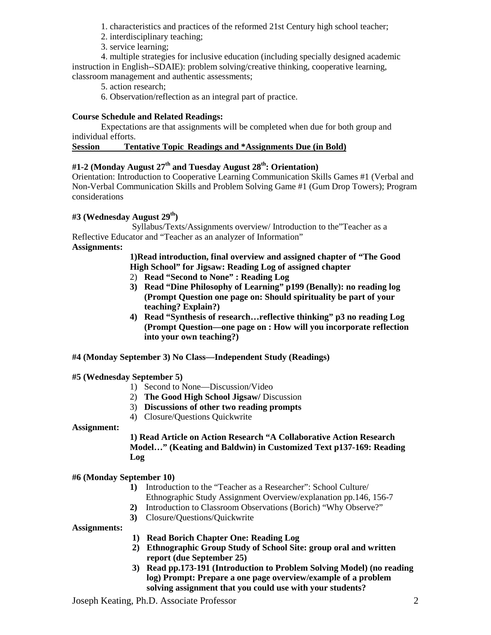- 1. characteristics and practices of the reformed 21st Century high school teacher;
- 2. interdisciplinary teaching;
- 3. service learning;

4. multiple strategies for inclusive education (including specially designed academic instruction in English--SDAIE): problem solving/creative thinking, cooperative learning, classroom management and authentic assessments;

5. action research;

6. Observation/reflection as an integral part of practice.

# **Course Schedule and Related Readings:**

Expectations are that assignments will be completed when due for both group and individual efforts.

## **Session Tentative Topic Readings and \*Assignments Due (in Bold)**

# **#1-2 (Monday August 27th and Tuesday August 28th: Orientation)**

Orientation: Introduction to Cooperative Learning Communication Skills Games #1 (Verbal and Non-Verbal Communication Skills and Problem Solving Game #1 (Gum Drop Towers); Program considerations

# **#3 (Wednesday August 29th)**

Syllabus/Texts/Assignments overview/ Introduction to the"Teacher as a Reflective Educator and "Teacher as an analyzer of Information" **Assignments:** 

# **1)Read introduction, final overview and assigned chapter of "The Good High School" for Jigsaw: Reading Log of assigned chapter**

- 2) **Read "Second to None" : Reading Log**
- **3) Read "Dine Philosophy of Learning" p199 (Benally): no reading log (Prompt Question one page on: Should spirituality be part of your teaching? Explain?)**
- **4) Read "Synthesis of research…reflective thinking" p3 no reading Log (Prompt Question—one page on : How will you incorporate reflection into your own teaching?)**

# **#4 (Monday September 3) No Class—Independent Study (Readings)**

## **#5 (Wednesday September 5)**

- 1) Second to None—Discussion/Video
- 2) **The Good High School Jigsaw/** Discussion
- 3) **Discussions of other two reading prompts**
- 4) Closure/Questions Quickwrite

## **Assignment:**

# **1) Read Article on Action Research "A Collaborative Action Research Model…" (Keating and Baldwin) in Customized Text p137-169: Reading Log**

## **#6 (Monday September 10)**

- **1)** Introduction to the "Teacher as a Researcher": School Culture/ Ethnographic Study Assignment Overview/explanation pp.146, 156-7
- **2)** Introduction to Classroom Observations (Borich) "Why Observe?"
- **3)** Closure/Questions/Quickwrite

## **Assignments:**

- **1) Read Borich Chapter One: Reading Log**
- **2) Ethnographic Group Study of School Site: group oral and written report (due September 25)**
- **3) Read pp.173-191 (Introduction to Problem Solving Model) (no reading log) Prompt: Prepare a one page overview/example of a problem solving assignment that you could use with your students?**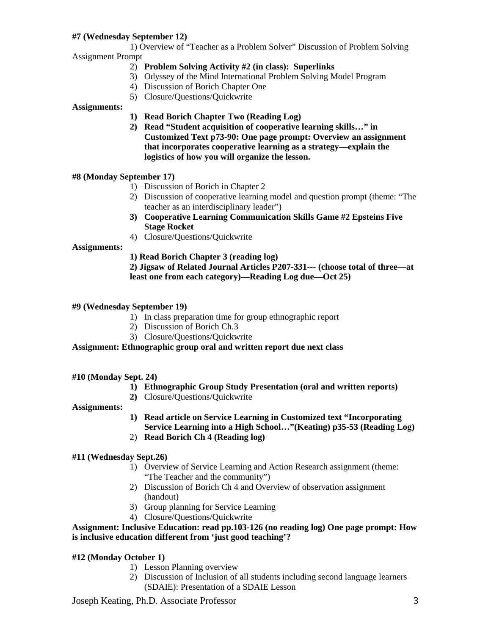# **#7 (Wednesday September 12)**

1) Overview of "Teacher as a Problem Solver" Discussion of Problem Solving Assignment Prompt

- 2) **Problem Solving Activity #2 (in class): Superlinks**
- 3) Odyssey of the Mind International Problem Solving Model Program
- 4) Discussion of Borich Chapter One
- 5) Closure/Questions/Quickwrite

### **Assignments:**

- **1) Read Borich Chapter Two (Reading Log)**
- **2) Read "Student acquisition of cooperative learning skills…" in Customized Text p73-90: One page prompt: Overview an assignment that incorporates cooperative learning as a strategy—explain the logistics of how you will organize the lesson.**

### **#8 (Monday September 17)**

- 1) Discussion of Borich in Chapter 2
- 2) Discussion of cooperative learning model and question prompt (theme: "The teacher as an interdisciplinary leader")
- **3) Cooperative Learning Communication Skills Game #2 Epsteins Five Stage Rocket**
- 4) Closure/Questions/Quickwrite

### **Assignments:**

**1) Read Borich Chapter 3 (reading log)**

## **2) Jigsaw of Related Journal Articles P207-331--- (choose total of three—at least one from each category)—Reading Log due—Oct 25)**

- **#9 (Wednesday September 19)**
	- 1) In class preparation time for group ethnographic report
	- 2) Discussion of Borich Ch.3
	- 3) Closure/Questions/Quickwrite

#### **Assignment: Ethnographic group oral and written report due next class**

#### **#10 (Monday Sept. 24)**

- **1) Ethnographic Group Study Presentation (oral and written reports)**
- **2)** Closure/Questions/Quickwrite

**Assignments:**

- **1) Read article on Service Learning in Customized text "Incorporating Service Learning into a High School…"(Keating) p35-53 (Reading Log)**
- 2) **Read Borich Ch 4 (Reading log)**

#### **#11 (Wednesday Sept.26)**

- 1) Overview of Service Learning and Action Research assignment (theme: "The Teacher and the community")
- 2) Discussion of Borich Ch 4 and Overview of observation assignment (handout)
- 3) Group planning for Service Learning
- 4) Closure/Questions/Quickwrite

### **Assignment: Inclusive Education: read pp.103-126 (no reading log) One page prompt: How is inclusive education different from 'just good teaching'?**

## **#12 (Monday October 1)**

- 1) Lesson Planning overview
- 2) Discussion of Inclusion of all students including second language learners (SDAIE): Presentation of a SDAIE Lesson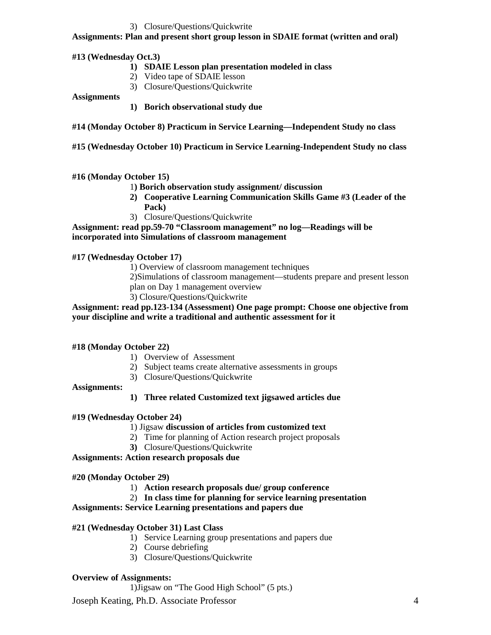## 3) Closure/Questions/Quickwrite

# **Assignments: Plan and present short group lesson in SDAIE format (written and oral)**

## **#13 (Wednesday Oct.3)**

- **1) SDAIE Lesson plan presentation modeled in class**
- 2) Video tape of SDAIE lesson
	- 3) Closure/Questions/Quickwrite

### **Assignments**

- **1) Borich observational study due**
- **#14 (Monday October 8) Practicum in Service Learning—Independent Study no class**
- **#15 (Wednesday October 10) Practicum in Service Learning-Independent Study no class**

### **#16 (Monday October 15)**

- 1**) Borich observation study assignment/ discussion**
- **2) Cooperative Learning Communication Skills Game #3 (Leader of the Pack)**
- 3) Closure/Questions/Quickwrite

**Assignment: read pp.59-70 "Classroom management" no log—Readings will be incorporated into Simulations of classroom management**

### **#17 (Wednesday October 17)**

1) Overview of classroom management techniques

- 2)Simulations of classroom management—students prepare and present lesson plan on Day 1 management overview
- 3) Closure/Questions/Quickwrite

## **Assignment: read pp.123-134 (Assessment) One page prompt: Choose one objective from your discipline and write a traditional and authentic assessment for it**

## **#18 (Monday October 22)**

- 1) Overview of Assessment
- 2) Subject teams create alternative assessments in groups
- 3) Closure/Questions/Quickwrite

#### **Assignments:**

**1) Three related Customized text jigsawed articles due**

## **#19 (Wednesday October 24)**

#### 1) Jigsaw **discussion of articles from customized text**

- 2) Time for planning of Action research project proposals
- **3)** Closure/Questions/Quickwrite

## **Assignments: Action research proposals due**

### **#20 (Monday October 29)**

- 1) **Action research proposals due/ group conference**
- 2) **In class time for planning for service learning presentation**

# **Assignments: Service Learning presentations and papers due**

## **#21 (Wednesday October 31) Last Class**

- 1) Service Learning group presentations and papers due
- 2) Course debriefing
- 3) Closure/Questions/Quickwrite

## **Overview of Assignments:**

1)Jigsaw on "The Good High School" (5 pts.)

Joseph Keating, Ph.D. Associate Professor 4